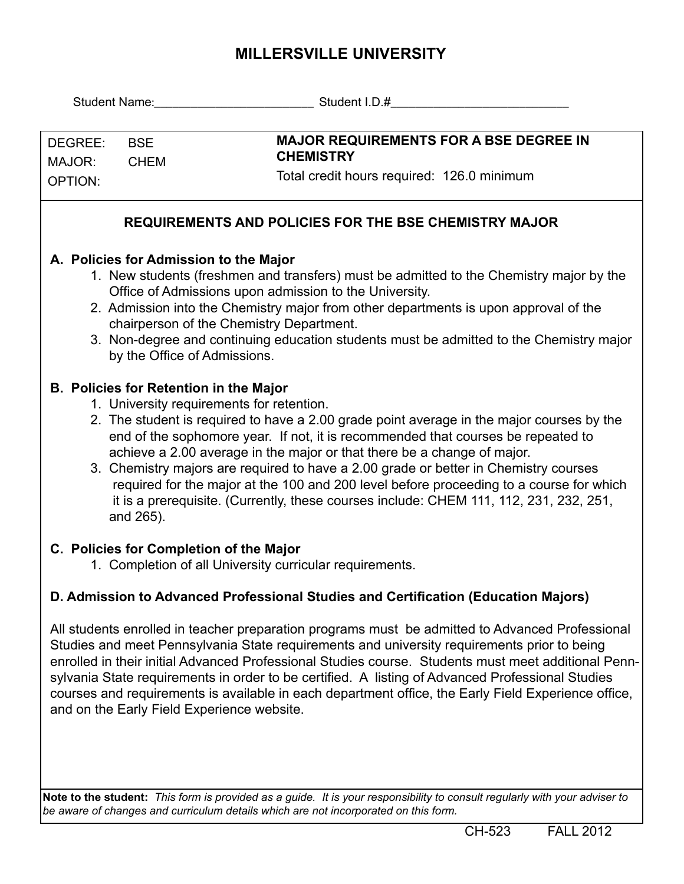## **MILLERSVILLE UNIVERSITY**

| Student Name: Mannell Mannell Mannell Mannell Mannell Mannell Mannell Mannell Mannell Mannell Mannell Mannell                                                                                                     |                                           |                                                                                                                                                                                 |  |  |  |  |  |  |  |
|-------------------------------------------------------------------------------------------------------------------------------------------------------------------------------------------------------------------|-------------------------------------------|---------------------------------------------------------------------------------------------------------------------------------------------------------------------------------|--|--|--|--|--|--|--|
|                                                                                                                                                                                                                   |                                           |                                                                                                                                                                                 |  |  |  |  |  |  |  |
| DEGREE:                                                                                                                                                                                                           | <b>BSE</b>                                | <b>MAJOR REQUIREMENTS FOR A BSE DEGREE IN</b>                                                                                                                                   |  |  |  |  |  |  |  |
| MAJOR:                                                                                                                                                                                                            | <b>CHEM</b>                               | <b>CHEMISTRY</b>                                                                                                                                                                |  |  |  |  |  |  |  |
| OPTION:                                                                                                                                                                                                           |                                           | Total credit hours required: 126.0 minimum                                                                                                                                      |  |  |  |  |  |  |  |
|                                                                                                                                                                                                                   |                                           |                                                                                                                                                                                 |  |  |  |  |  |  |  |
| REQUIREMENTS AND POLICIES FOR THE BSE CHEMISTRY MAJOR                                                                                                                                                             |                                           |                                                                                                                                                                                 |  |  |  |  |  |  |  |
| A. Policies for Admission to the Major                                                                                                                                                                            |                                           |                                                                                                                                                                                 |  |  |  |  |  |  |  |
| 1. New students (freshmen and transfers) must be admitted to the Chemistry major by the                                                                                                                           |                                           |                                                                                                                                                                                 |  |  |  |  |  |  |  |
| Office of Admissions upon admission to the University.                                                                                                                                                            |                                           |                                                                                                                                                                                 |  |  |  |  |  |  |  |
|                                                                                                                                                                                                                   |                                           | 2. Admission into the Chemistry major from other departments is upon approval of the                                                                                            |  |  |  |  |  |  |  |
|                                                                                                                                                                                                                   |                                           | chairperson of the Chemistry Department.                                                                                                                                        |  |  |  |  |  |  |  |
|                                                                                                                                                                                                                   |                                           | 3. Non-degree and continuing education students must be admitted to the Chemistry major<br>by the Office of Admissions.                                                         |  |  |  |  |  |  |  |
|                                                                                                                                                                                                                   |                                           |                                                                                                                                                                                 |  |  |  |  |  |  |  |
| <b>B. Policies for Retention in the Major</b>                                                                                                                                                                     |                                           |                                                                                                                                                                                 |  |  |  |  |  |  |  |
|                                                                                                                                                                                                                   | 1. University requirements for retention. |                                                                                                                                                                                 |  |  |  |  |  |  |  |
| 2. The student is required to have a 2.00 grade point average in the major courses by the                                                                                                                         |                                           |                                                                                                                                                                                 |  |  |  |  |  |  |  |
|                                                                                                                                                                                                                   |                                           | end of the sophomore year. If not, it is recommended that courses be repeated to                                                                                                |  |  |  |  |  |  |  |
|                                                                                                                                                                                                                   |                                           | achieve a 2.00 average in the major or that there be a change of major.                                                                                                         |  |  |  |  |  |  |  |
|                                                                                                                                                                                                                   |                                           | 3. Chemistry majors are required to have a 2.00 grade or better in Chemistry courses<br>required for the major at the 100 and 200 level before proceeding to a course for which |  |  |  |  |  |  |  |
|                                                                                                                                                                                                                   |                                           | it is a prerequisite. (Currently, these courses include: CHEM 111, 112, 231, 232, 251,                                                                                          |  |  |  |  |  |  |  |
|                                                                                                                                                                                                                   | and 265).                                 |                                                                                                                                                                                 |  |  |  |  |  |  |  |
|                                                                                                                                                                                                                   |                                           |                                                                                                                                                                                 |  |  |  |  |  |  |  |
| C. Policies for Completion of the Major                                                                                                                                                                           |                                           |                                                                                                                                                                                 |  |  |  |  |  |  |  |
|                                                                                                                                                                                                                   |                                           | 1. Completion of all University curricular requirements.                                                                                                                        |  |  |  |  |  |  |  |
| D. Admission to Advanced Professional Studies and Certification (Education Majors)                                                                                                                                |                                           |                                                                                                                                                                                 |  |  |  |  |  |  |  |
|                                                                                                                                                                                                                   |                                           | All students enrolled in teacher preparation programs must be admitted to Advanced Professional                                                                                 |  |  |  |  |  |  |  |
|                                                                                                                                                                                                                   |                                           | Studies and meet Pennsylvania State requirements and university requirements prior to being                                                                                     |  |  |  |  |  |  |  |
| enrolled in their initial Advanced Professional Studies course. Students must meet additional Penn-                                                                                                               |                                           |                                                                                                                                                                                 |  |  |  |  |  |  |  |
| sylvania State requirements in order to be certified. A listing of Advanced Professional Studies                                                                                                                  |                                           |                                                                                                                                                                                 |  |  |  |  |  |  |  |
| courses and requirements is available in each department office, the Early Field Experience office,                                                                                                               |                                           |                                                                                                                                                                                 |  |  |  |  |  |  |  |
| and on the Early Field Experience website.                                                                                                                                                                        |                                           |                                                                                                                                                                                 |  |  |  |  |  |  |  |
|                                                                                                                                                                                                                   |                                           |                                                                                                                                                                                 |  |  |  |  |  |  |  |
|                                                                                                                                                                                                                   |                                           |                                                                                                                                                                                 |  |  |  |  |  |  |  |
|                                                                                                                                                                                                                   |                                           |                                                                                                                                                                                 |  |  |  |  |  |  |  |
|                                                                                                                                                                                                                   |                                           |                                                                                                                                                                                 |  |  |  |  |  |  |  |
| Note to the student: This form is provided as a guide. It is your responsibility to consult regularly with your adviser to<br>be aware of changes and curriculum details which are not incorporated on this form. |                                           |                                                                                                                                                                                 |  |  |  |  |  |  |  |